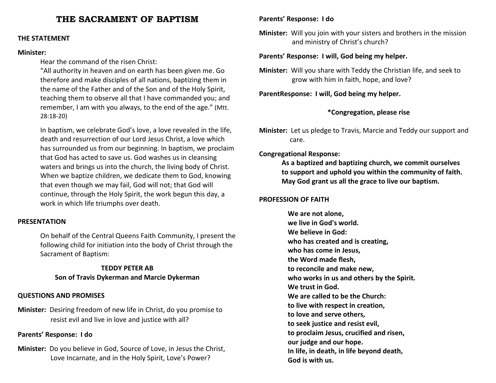# **THE SACRAMENT OF BAPTISM**

#### **THE STATEMENT**

#### **Minister:**

Hear the command of the risen Christ:

"All authority in heaven and on earth has been given me. Go therefore and make disciples of all nations, baptizing them in the name of the Father and of the Son and of the Holy Spirit, teaching them to observe all that I have commanded you; and remember, I am with you always, to the end of the age." (Mtt. 28:18-20)

In baptism, we celebrate God's love, a love revealed in the life, death and resurrection of our Lord Jesus Christ, a love which has surrounded us from our beginning. In baptism, we proclaim that God has acted to save us. God washes us in cleansing waters and brings us into the church, the living body of Christ. When we baptize children, we dedicate them to God, knowing that even though we may fail, God will not; that God will continue, through the Holy Spirit, the work begun this day, a work in which life triumphs over death.

#### **PRESENTATION**

On behalf of the Central Queens Faith Community, I present the following child for initiation into the body of Christ through the Sacrament of Baptism:

#### **TEDDY PETER AB**

# **Son of Travis Dykerman and Marcie Dykerman**

#### **QUESTIONS AND PROMISES**

**Minister:** Desiring freedom of new life in Christ, do you promise to resist evil and live in love and justice with all?

#### **Parents' Response: I do**

**Minister:** Do you believe in God, Source of Love, in Jesus the Christ, Love Incarnate, and in the Holy Spirit, Love's Power?

# **Parents' Response: I do**

**Minister:** Will you join with your sisters and brothers in the mission and ministry of Christ's church?

# **Parents' Response: I will, God being my helper.**

**Minister:** Will you share with Teddy the Christian life, and seek to grow with him in faith, hope, and love?

**ParentResponse: I will, God being my helper.** 

# **\*Congregation, please rise**

**Minister:** Let us pledge to Travis, Marcie and Teddy our support and care.

# **Congregational Response:**

 **As a baptized and baptizing church, we commit ourselves to support and uphold you within the community of faith. May God grant us all the grace to live our baptism.** 

#### **PROFESSION OF FAITH**

**We are not alone, we live in God's world. We believe in God: who has created and is creating, who has come in Jesus, the Word made flesh, to reconcile and make new, who works in us and others by the Spirit. We trust in God. We are called to be the Church: to live with respect in creation, to love and serve others, to seek justice and resist evil, to proclaim Jesus, crucified and risen, our judge and our hope. In life, in death, in life beyond death, God is with us.**